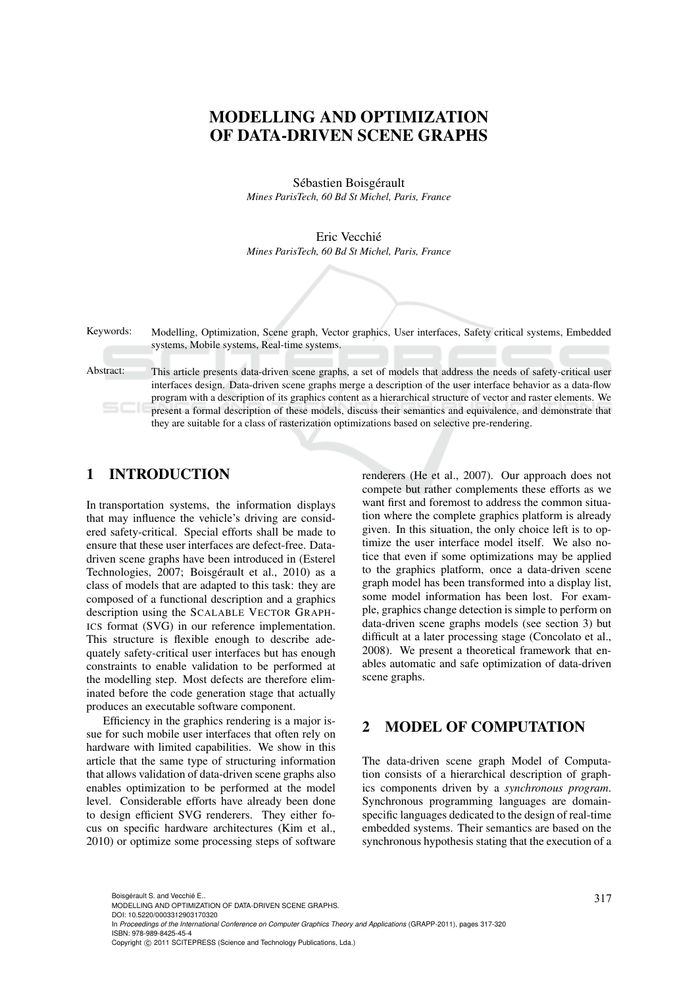# MODELLING AND OPTIMIZATION OF DATA-DRIVEN SCENE GRAPHS

Sébastien Boisgérault *Mines ParisTech, 60 Bd St Michel, Paris, France*

Eric Vecchie´ *Mines ParisTech, 60 Bd St Michel, Paris, France*

Keywords: Modelling, Optimization, Scene graph, Vector graphics, User interfaces, Safety critical systems, Embedded systems, Mobile systems, Real-time systems.

Abstract: This article presents data-driven scene graphs, a set of models that address the needs of safety-critical user interfaces design. Data-driven scene graphs merge a description of the user interface behavior as a data-flow program with a description of its graphics content as a hierarchical structure of vector and raster elements. We present a formal description of these models, discuss their semantics and equivalence, and demonstrate that they are suitable for a class of rasterization optimizations based on selective pre-rendering.

# 1 INTRODUCTION

In transportation systems, the information displays that may influence the vehicle's driving are considered safety-critical. Special efforts shall be made to ensure that these user interfaces are defect-free. Datadriven scene graphs have been introduced in (Esterel Technologies, 2007; Boisgérault et al., 2010) as a class of models that are adapted to this task: they are composed of a functional description and a graphics description using the SCALABLE VECTOR GRAPH-ICS format (SVG) in our reference implementation. This structure is flexible enough to describe adequately safety-critical user interfaces but has enough constraints to enable validation to be performed at the modelling step. Most defects are therefore eliminated before the code generation stage that actually produces an executable software component.

Efficiency in the graphics rendering is a major issue for such mobile user interfaces that often rely on hardware with limited capabilities. We show in this article that the same type of structuring information that allows validation of data-driven scene graphs also enables optimization to be performed at the model level. Considerable efforts have already been done to design efficient SVG renderers. They either focus on specific hardware architectures (Kim et al., 2010) or optimize some processing steps of software

renderers (He et al., 2007). Our approach does not compete but rather complements these efforts as we want first and foremost to address the common situation where the complete graphics platform is already given. In this situation, the only choice left is to optimize the user interface model itself. We also notice that even if some optimizations may be applied to the graphics platform, once a data-driven scene graph model has been transformed into a display list, some model information has been lost. For example, graphics change detection is simple to perform on data-driven scene graphs models (see section 3) but difficult at a later processing stage (Concolato et al., 2008). We present a theoretical framework that enables automatic and safe optimization of data-driven scene graphs.

# 2 MODEL OF COMPUTATION

The data-driven scene graph Model of Computation consists of a hierarchical description of graphics components driven by a *synchronous program*. Synchronous programming languages are domainspecific languages dedicated to the design of real-time embedded systems. Their semantics are based on the synchronous hypothesis stating that the execution of a

317 Boisgérault S. and Vecchié E.. MODELLING AND OPTIMIZATION OF DATA-DRIVEN SCENE GRAPHS.

DOI: 10.5220/0003312903170320

In *Proceedings of the International Conference on Computer Graphics Theory and Applications* (GRAPP-2011), pages 317-320 ISBN: 978-989-8425-45-4

Copyright © 2011 SCITEPRESS (Science and Technology Publications, Lda.)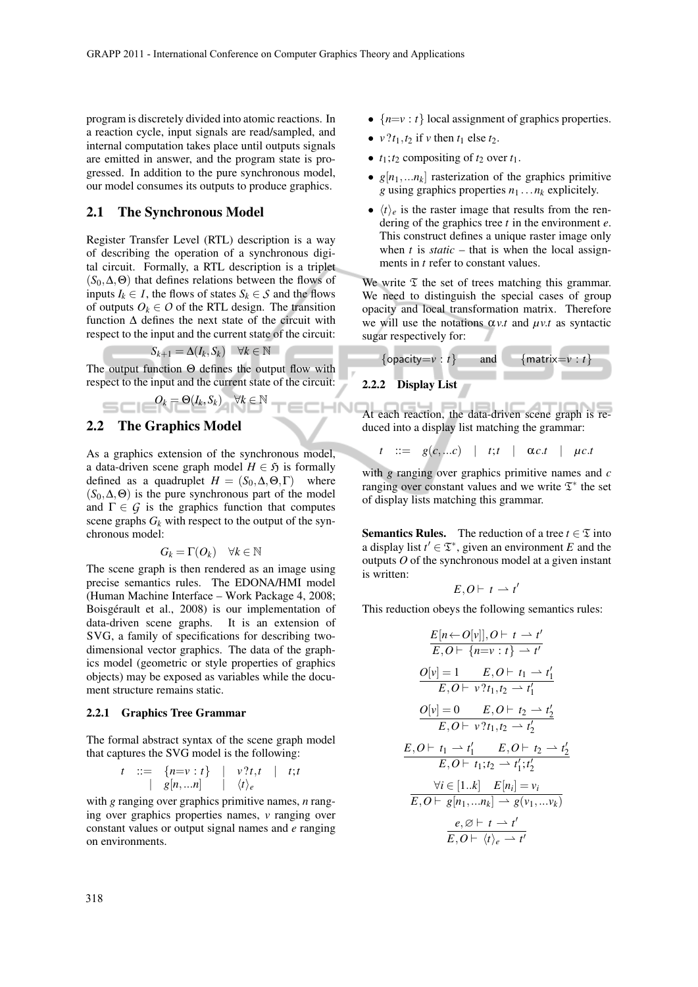program is discretely divided into atomic reactions. In a reaction cycle, input signals are read/sampled, and internal computation takes place until outputs signals are emitted in answer, and the program state is progressed. In addition to the pure synchronous model, our model consumes its outputs to produce graphics.

#### 2.1 The Synchronous Model

Register Transfer Level (RTL) description is a way of describing the operation of a synchronous digital circuit. Formally, a RTL description is a triplet  $(S_0, \Delta, \Theta)$  that defines relations between the flows of inputs  $I_k \in I$ , the flows of states  $S_k \in S$  and the flows of outputs  $O_k \in O$  of the RTL design. The transition function ∆ defines the next state of the circuit with respect to the input and the current state of the circuit:

$$
S_{k+1} = \Delta(I_k, S_k) \quad \forall k \in \mathbb{N}
$$

The output function Θ defines the output flow with respect to the input and the current state of the circuit:

ECHNI

$$
O_k = \Theta(I_k, S_k) \quad \forall k \in \mathbb{N}
$$

#### 2.2 The Graphics Model

As a graphics extension of the synchronous model, a data-driven scene graph model  $H \in \mathfrak{H}$  is formally defined as a quadruplet  $H = (S_0, \Delta, \Theta, \Gamma)$  where  $(S_0, \Delta, \Theta)$  is the pure synchronous part of the model and  $\Gamma \in \mathcal{G}$  is the graphics function that computes scene graphs  $G_k$  with respect to the output of the synchronous model:

$$
G_k = \Gamma(O_k) \quad \forall k \in \mathbb{N}
$$

The scene graph is then rendered as an image using precise semantics rules. The EDONA/HMI model (Human Machine Interface – Work Package 4, 2008; Boisgérault et al., 2008) is our implementation of data-driven scene graphs. It is an extension of SVG, a family of specifications for describing twodimensional vector graphics. The data of the graphics model (geometric or style properties of graphics objects) may be exposed as variables while the document structure remains static.

#### 2.2.1 Graphics Tree Grammar

The formal abstract syntax of the scene graph model that captures the SVG model is the following:

$$
t \quad ::= \quad \{n = v : t\} \quad | \quad v ? t, t \quad | \quad t; t
$$

$$
| \quad g[n,...n] \quad | \quad \langle t \rangle_e
$$

with *g* ranging over graphics primitive names, *n* ranging over graphics properties names, *v* ranging over constant values or output signal names and *e* ranging on environments.

- $\{n=v : t\}$  local assignment of graphics properties.
- $v$  ?*t*<sub>1</sub>,*t*<sub>2</sub> if *v* then *t*<sub>1</sub> else *t*<sub>2</sub>.
- $t_1$ ;  $t_2$  compositing of  $t_2$  over  $t_1$ .
- $g[n_1,...n_k]$  rasterization of the graphics primitive *g* using graphics properties *n*<sup>1</sup> ...*n<sup>k</sup>* explicitely.
- $\langle t \rangle_e$  is the raster image that results from the rendering of the graphics tree *t* in the environment *e*. This construct defines a unique raster image only when  $t$  is *static* – that is when the local assignments in *t* refer to constant values.

We write  $\mathfrak T$  the set of trees matching this grammar. We need to distinguish the special cases of group opacity and local transformation matrix. Therefore we will use the notations  $\alpha v \cdot t$  and  $\mu v \cdot t$  as syntactic sugar respectively for:



At each reaction, the data-driven scene graph is reduced into a display list matching the grammar:

 $t$  ::=  $g(c,...c)$  | *t*;*t* |  $\alpha c.t$  |  $\mu c.t$ 

with *g* ranging over graphics primitive names and *c* ranging over constant values and we write  $\mathfrak{T}^*$  the set of display lists matching this grammar.

**Semantics Rules.** The reduction of a tree  $t \in \mathcal{I}$  into a display list  $t' \in \mathfrak{T}^*$ , given an environment *E* and the outputs *O* of the synchronous model at a given instant is written:

$$
E,O\vdash t\rightharpoonup t'
$$

This reduction obeys the following semantics rules:

$$
\frac{E[n \leftarrow O[v]], O \vdash t \rightarrow t'}{E, O \vdash \{n = v : t\} \rightarrow t'}
$$
\n
$$
\frac{O[v] = 1 \qquad E, O \vdash t_1 \rightarrow t'_1}{E, O \vdash v?t_1, t_2 \rightarrow t'_1}
$$
\n
$$
\frac{O[v] = 0 \qquad E, O \vdash t_2 \rightarrow t'_2}{E, O \vdash v?t_1, t_2 \rightarrow t'_2}
$$
\n
$$
\frac{E, O \vdash t_1 \rightarrow t'_1 \qquad E, O \vdash t_2 \rightarrow t'_2}{E, O \vdash t_1; t_2 \rightarrow t'_1; t'_2}
$$
\n
$$
\forall i \in [1..k] \qquad E[n_i] = v_i
$$
\n
$$
\frac{e, \emptyset \vdash t \rightarrow t'}{E, O \vdash \langle \psi \rangle_e \rightarrow t'}
$$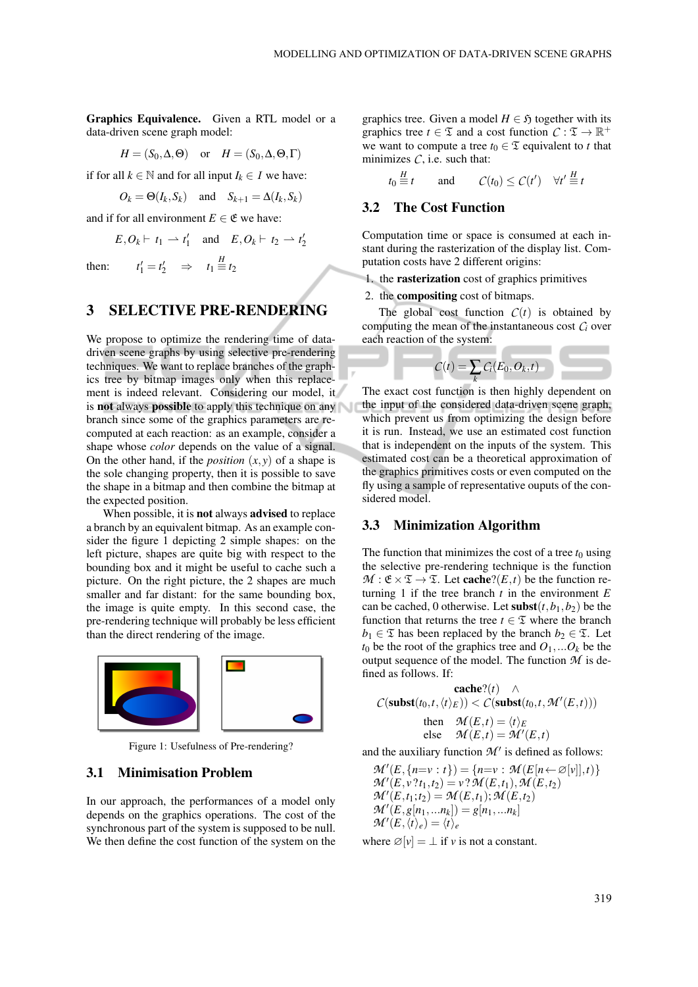Graphics Equivalence. Given a RTL model or a data-driven scene graph model:

$$
H = (S_0, \Delta, \Theta)
$$
 or  $H = (S_0, \Delta, \Theta, \Gamma)$ 

if for all *k* ∈  $\mathbb N$  and for all input *I*<sub>*k*</sub> ∈ *I* we have:

$$
O_k = \Theta(I_k, S_k)
$$
 and  $S_{k+1} = \Delta(I_k, S_k)$ 

and if for all environment  $E \in \mathfrak{E}$  we have:

 $t_1' = t_2' \Rightarrow t_1 \stackrel{H}{\equiv} t_2$ 

 $E, O_k \vdash t_1 \rightharpoonup t'_1$  and  $E, O_k \vdash t_2 \rightharpoonup t'_2$ 

then: *t*

# 3 SELECTIVE PRE-RENDERING

We propose to optimize the rendering time of datadriven scene graphs by using selective pre-rendering techniques. We want to replace branches of the graphics tree by bitmap images only when this replacement is indeed relevant. Considering our model, it is **not** always **possible** to apply this technique on any branch since some of the graphics parameters are recomputed at each reaction: as an example, consider a shape whose *color* depends on the value of a signal. On the other hand, if the *position*  $(x, y)$  of a shape is the sole changing property, then it is possible to save the shape in a bitmap and then combine the bitmap at the expected position.

When possible, it is not always advised to replace a branch by an equivalent bitmap. As an example consider the figure 1 depicting 2 simple shapes: on the left picture, shapes are quite big with respect to the bounding box and it might be useful to cache such a picture. On the right picture, the 2 shapes are much smaller and far distant: for the same bounding box, the image is quite empty. In this second case, the pre-rendering technique will probably be less efficient than the direct rendering of the image.



Figure 1: Usefulness of Pre-rendering?

#### 3.1 Minimisation Problem

In our approach, the performances of a model only depends on the graphics operations. The cost of the synchronous part of the system is supposed to be null. We then define the cost function of the system on the graphics tree. Given a model  $H \in \mathfrak{H}$  together with its graphics tree  $t \in \mathfrak{T}$  and a cost function  $C : \mathfrak{T} \to \mathbb{R}^+$ we want to compute a tree  $t_0 \in \mathfrak{T}$  equivalent to *t* that minimizes  $C$ , i.e. such that:

$$
t_0 \stackrel{H}{\equiv} t
$$
 and  $C(t_0) \leq C(t') \quad \forall t' \stackrel{H}{\equiv} t$ 

#### 3.2 The Cost Function

Computation time or space is consumed at each instant during the rasterization of the display list. Computation costs have 2 different origins:

1. the rasterization cost of graphics primitives

2. the compositing cost of bitmaps.

The global cost function  $C(t)$  is obtained by computing the mean of the instantaneous cost  $C_i$  over each reaction of the system:



The exact cost function is then highly dependent on the input of the considered data-driven scene graph, which prevent us from optimizing the design before it is run. Instead, we use an estimated cost function that is independent on the inputs of the system. This estimated cost can be a theoretical approximation of the graphics primitives costs or even computed on the fly using a sample of representative ouputs of the considered model.

#### 3.3 Minimization Algorithm

The function that minimizes the cost of a tree  $t_0$  using the selective pre-rendering technique is the function  $M : \mathfrak{E} \times \mathfrak{T} \to \mathfrak{T}$ . Let **cache**?(*E*,*t*) be the function returning 1 if the tree branch  $t$  in the environment  $E$ can be cached, 0 otherwise. Let  $\textbf{subst}(t, b_1, b_2)$  be the function that returns the tree  $t \in \mathfrak{T}$  where the branch *b*<sub>1</sub> ∈  $\mathfrak{T}$  has been replaced by the branch *b*<sub>2</sub> ∈  $\mathfrak{T}$ . Let  $t_0$  be the root of the graphics tree and  $O_1$ ,... $O_k$  be the output sequence of the model. The function  $M$  is defined as follows. If:

$$
\operatorname{cache}(t) \wedge
$$
  
\n
$$
C(\operatorname{subst}(t_0,t,\langle t \rangle_E)) < C(\operatorname{subst}(t_0,t,\mathcal{M}'(E,t)))
$$
  
\nthen 
$$
\mathcal{M}(E,t) = \langle t \rangle_E
$$
  
\nelse 
$$
\mathcal{M}(E,t) = \mathcal{M}'(E,t)
$$

and the auxiliary function  $M'$  is defined as follows:

$$
\mathcal{M}'(E, \{n=v : t\}) = \{n=v : \mathcal{M}(E[n \leftarrow \varnothing[v]], t)\} \mathcal{M}'(E, v ?t_1, t_2) = v ? \mathcal{M}(E, t_1), \mathcal{M}(E, t_2) \mathcal{M}'(E, t_1; t_2) = \mathcal{M}(E, t_1); \mathcal{M}(E, t_2) \mathcal{M}'(E, g[n_1, \ldots n_k]) = g[n_1, \ldots n_k] \mathcal{M}'(E, \langle t \rangle_e) = \langle t \rangle_e
$$

where  $\varnothing[v] = \bot$  if *v* is not a constant.